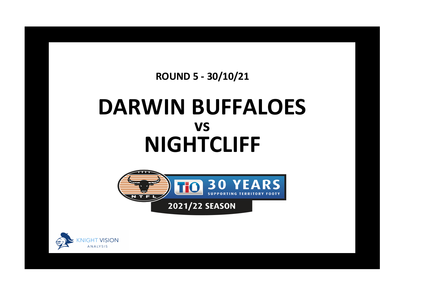**ROUND 5 - 30/10/21**

## **DARWIN BUFFALOES NIGHTCLIFF vs**



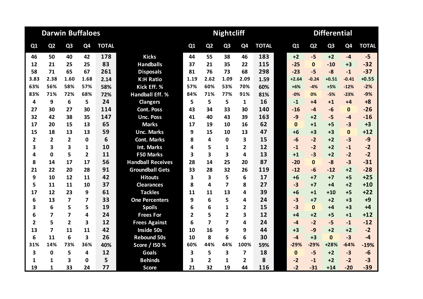|                         |                         | <b>Darwin Buffaloes</b> |                |              |                          |      |                | <b>Nightcliff</b> |                         |              | <b>Differential</b> |                |                |                |                |              |  |
|-------------------------|-------------------------|-------------------------|----------------|--------------|--------------------------|------|----------------|-------------------|-------------------------|--------------|---------------------|----------------|----------------|----------------|----------------|--------------|--|
| Q1                      | Q <sub>2</sub>          | Q <sub>3</sub>          | Q <sub>4</sub> | <b>TOTAL</b> |                          | Q1   | Q <sub>2</sub> | Q <sub>3</sub>    | Q <sub>4</sub>          | <b>TOTAL</b> |                     | Q <sub>1</sub> | Q <sub>2</sub> | Q <sub>3</sub> | Q <sub>4</sub> | <b>TOTAL</b> |  |
| 46                      | 50                      | 40                      | 42             | 178          | <b>Kicks</b>             | 44   | 55             | 38                | 46                      | 183          |                     | $+2$           | $-5$           | $+2$           | $-4$           | $-5$         |  |
| 12                      | 21                      | 25                      | 25             | 83           | <b>Handballs</b>         | 37   | 21             | 35                | 22                      | 115          |                     | $-25$          | $\mathbf{0}$   | $-10$          | $+3$           | $-32$        |  |
| 58                      | 71                      | 65                      | 67             | 261          | <b>Disposals</b>         | 81   | 76             | 73                | 68                      | 298          |                     | $-23$          | $-5$           | $-8$           | $-1$           | $-37$        |  |
| 3.83                    | 2.38                    | 1.60                    | 1.68           | 2.14         | <b>K:H Ratio</b>         | 1.19 | 2.62           | 1.09              | 2.09                    | 1.59         |                     | $+2.64$        | $-0.24$        | $+0.51$        | $-0.41$        | $+0.55$      |  |
| 63%                     | 56%                     | 58%                     | 57%            | 58%          | Kick Eff. %              | 57%  | 60%            | 53%               | 70%                     | 60%          |                     | $+6%$          | $-4%$          | $+5%$          | $-12%$         | $-2%$        |  |
| 83%                     | 71%                     | 72%                     | 68%            | 72%          | <b>Handball Eff. %</b>   | 84%  | 71%            | 77%               | 91%                     | 81%          |                     | $-0%$          | 0%             | $-5%$          | $-23%$         | $-9%$        |  |
| 4                       | 9                       | 6                       | 5              | 24           | <b>Clangers</b>          | 5    | 5              | 5                 | $\mathbf{1}$            | 16           |                     | $-1$           | $+4$           | $+1$           | $+4$           | $+8$         |  |
| 27                      | 30                      | 27                      | 30             | 114          | <b>Cont. Poss</b>        | 43   | 34             | 33                | 30                      | 140          |                     | $-16$          | $-4$           | $-6$           | $\mathbf{0}$   | $-26$        |  |
| 32                      | 42                      | 38                      | 35             | 147          | <b>Unc. Poss</b>         | 41   | 40             | 43                | 39                      | 163          |                     | $-9$           | $+2$           | $-5$           | $-4$           | $-16$        |  |
| 17                      | 20                      | 15                      | 13             | 65           | <b>Marks</b>             | 17   | 19             | 10                | 16                      | 62           |                     | $\mathbf{0}$   | $+1$           | $+5$           | $-3$           | $+3$         |  |
| 15                      | 18                      | 13                      | 13             | 59           | <b>Unc. Marks</b>        | 9    | 15             | 10                | 13                      | 47           |                     | $+6$           | $+3$           | $+3$           | $\mathbf{0}$   | $+12$        |  |
| $\overline{2}$          | $\overline{2}$          | $\overline{2}$          | 0              | 6            | <b>Cont. Marks</b>       | 8    | 4              | 0                 | 3                       | 15           |                     | $-6$           | $-2$           | $+2$           | $-3$           | $-9$         |  |
| 3                       | 3                       | 3                       | 1              | 10           | <b>Int. Marks</b>        | 4    | 5              | 1                 | $\overline{2}$          | 12           |                     | $-1$           | $-2$           | $+2$           | $-1$           | $-2$         |  |
| 4                       | $\mathbf{0}$            | 5                       | $\overline{2}$ | 11           | <b>F50 Marks</b>         | 3    | 3              | 3                 | 4                       | 13           |                     | $+1$           | $-3$           | $+2$           | $-2$           | $-2$         |  |
| 8                       | 14                      | 17                      | 17             | 56           | <b>Handball Receives</b> | 28   | 14             | 25                | 20                      | 87           |                     | $-20$          | $\Omega$       | $-8$           | $-3$           | $-31$        |  |
| 21                      | 22                      | 20                      | 28             | 91           | <b>Groundball Gets</b>   | 33   | 28             | 32                | 26                      | 119          |                     | $-12$          | $-6$           | $-12$          | $+2$           | $-28$        |  |
| 9                       | 10                      | 12                      | 11             | 42           | <b>Hitouts</b>           | 3    | 3              | 5                 | 6                       | 17           |                     | $+6$           | $+7$           | $+7$           | $+5$           | $+25$        |  |
| 5                       | 11                      | 11                      | 10             | 37           | <b>Clearances</b>        | 8    | 4              | 7                 | 8                       | 27           |                     | $-3$           | $+7$           | $+4$           | $+2$           | $+10$        |  |
| 17                      | 12                      | 23                      | 9              | 61           | <b>Tackles</b>           | 11   | 11             | 13                | 4                       | 39           |                     | $+6$           | $+1$           | $+10$          | $+5$           | $+22$        |  |
| 6                       | 13                      | $\overline{7}$          | 7              | 33           | <b>One Percenters</b>    | 9    | 6              | 5                 | 4                       | 24           |                     | $-3$           | $+7$           | $+2$           | $+3$           | $+9$         |  |
| 3                       | 6                       | 5                       | 5              | 19           | <b>Spoils</b>            | 6    | 6              | 1                 | $\overline{2}$          | 15           |                     | $-3$           | $\mathbf{0}$   | $+4$           | $+3$           | $+4$         |  |
| 6                       | 7                       | 7                       | 4              | 24           | <b>Frees For</b>         | 2    | 5              | $\overline{2}$    | 3                       | 12           |                     | $+4$           | $+2$           | $+5$           | $+1$           | $+12$        |  |
| $\overline{\mathbf{2}}$ | 5                       | $\overline{2}$          | 3              | 12           | <b>Frees Against</b>     | 6    | $\overline{7}$ | 7                 | 4                       | 24           |                     | $-4$           | $-2$           | $-5$           | $-1$           | $-12$        |  |
| 13                      | $\overline{\mathbf{z}}$ | 11                      | 11             | 42           | <b>Inside 50s</b>        | 10   | 16             | 9                 | 9                       | 44           |                     | $+3$           | $-9$           | $+2$           | $+2$           | $-2$         |  |
| 6                       | 11                      | 6                       | 3              | 26           | <b>Rebound 50s</b>       | 10   | 8              | 6                 | 6                       | 30           |                     | $-4$           | $+3$           | $\Omega$       | $-3$           | $-4$         |  |
| 31%                     | 14%                     | 73%                     | 36%            | 40%          | Score / 150 %            | 60%  | 44%            | 44%               | 100%                    | 59%          |                     | $-29%$         | $-29%$         | $+28%$         | $-64%$         | $-19%$       |  |
| 3                       | $\mathbf 0$             | 5                       | 4              | 12           | <b>Goals</b>             | 3    | 5              | 3                 | $\overline{\mathbf{z}}$ | 18           |                     | $\mathbf{0}$   | $-5$           | $+2$           | $-3$           | $-6$         |  |
| 1                       | 1                       | 3                       | 0              | 5            | <b>Behinds</b>           | 3    | $\overline{2}$ | $\mathbf{1}$      | $\overline{2}$          | 8            |                     | $-2$           | $-1$           | $+2$           | $-2$           | $-3$         |  |
| 19                      | 1                       | 33                      | 24             | 77           | <b>Score</b>             | 21   | 32             | 19                | 44                      | 116          |                     | $-2$           | $-31$          | $+14$          | $-20$          | $-39$        |  |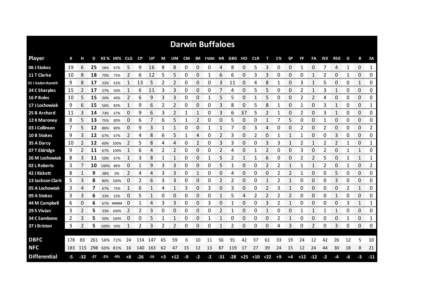|                     |     |     |       |          |             |              |           |       |      |       |           |              | <b>Darwin Buffaloes</b> |              |                               |    |              |    |      |           |              |                |      |              |    |              |                |
|---------------------|-----|-----|-------|----------|-------------|--------------|-----------|-------|------|-------|-----------|--------------|-------------------------|--------------|-------------------------------|----|--------------|----|------|-----------|--------------|----------------|------|--------------|----|--------------|----------------|
| <b>Player</b>       | К   |     | D     |          | KE% HE% CLG |              | <b>CP</b> | UP    | М    | UM    | <b>CM</b> |              | IM F50M HR GBG          |              |                               | но | <b>CLR</b>   | т  | 1%   | <b>SP</b> | FF           | FA             | 150  | <b>R50</b>   | G  | в            | <b>SA</b>      |
| 06 J Stokes         | 19  | 6   | 25    | 58%      | 67%         | 5            | 9         | 16    | 8    | 8     | 0         | 0            | 0                       | 4            | 8                             | 0  | 5            | 3  | 0    | 0         | 1            | 0              |      | 4            | 1  | $\Omega$     | $\mathbf{1}$   |
| 11 T Clarke         | 10  | 8   | 18    | 70%      | 75%         | 2            | 6         | 12    | 5    | 5     | 0         | 0            | 1                       | 6            | 6                             | 0  | 3            | 3  | 0    | 0         | 0            | 1              | 2    | 0            | 1  | 0            | 0              |
| 01 I Seden-Kunoth   | 9   | 8   | 17    | 33%      | 63%         | 1            | 13        | 5     | 2    | 2     | 0         | 0            | 0                       | 3            | 11                            | 0  | 4            | 8  | 1    | 0         | 3            | 1              | 5    | 0            | 0  | $\mathbf{1}$ | 0              |
| 24 C Sharples       | 15  | 2   | 17    | 27%      | 50%         | 1            | 6         | 11    | 3    | 3     | 0         | 0            | 0                       | 7            | 4                             | 0  | 5            | 5  | 0    | 0         | 2            | 1              | 3    | 1            | 0  | 0            | 0              |
| 16 P Boles          | 10  | 5   | 15    | 20%      | 40%         | 2            | 6         | 9     | 3    | 3     | 0         | 0            | 1                       | 5            | 5                             | 0  | 1            | 5  | 0    | 0         | 2            | 2              | 4    | 0            | 0  | 0            | 0              |
| 17 J Lochowiak      | 9   | 6   | 15    | 56%      | 83%         | $\mathbf{1}$ | 9         | 6     | 2    | 2     | 0         | 0            | 0                       | 3            | 8                             | 0  | 5            | 8  | 1    | 0         | $\mathbf{1}$ | 0              | 3    | $\mathbf{1}$ | 0  | 0            | 1              |
| 25 B Archard        | 11  | 3   | 14    | 73%      | 67%         | 0            | 9         | 6     | 3    | 2     | 1         | $\mathbf{1}$ | 0                       | 3            | 6                             | 37 | 5            | 2  | 1    | 0         | 2            | 0              | 3    | $\mathbf{1}$ | 0  | 0            | 0              |
| 12 K Maroney        | 8   | 5   | 13    | 75%      | 80%         | 0            | 6         | 7     | 6    | 5     | 1         | 2            | 0                       | 0            | 5                             | 0  | 0            | 1  |      | 5         | 0            | 0              | 1    | 0            | 0  | 0            | 0              |
| 03 J Collinson      | 7   | 5   | 12    | 86%      | 80%         | 0            | 9         | 3     | 1    | 1     | 0         | 0            | 1                       | $\mathbf{1}$ | 7                             | 0  | 3            | 4  | 0    | 0         | 2            | 0              | 2    | 0            | 0  | 0            | $\overline{2}$ |
| 10 B Stokes         | 9   | 3   | 12    | 67%      | 67%         | 2            | 4         | 8     | 6    | 5     | 1         | 4            | 0                       | 2            | 3                             | 0  | 2            | 0  | 1    | 1         | 1            | 0              | 0    | 3            | 0  | 0            | 0              |
| 35 A Darcy          | 10  | 2   | 12    | 60%      | 100%        | 2            | 5         | 8     | 4    | 4     | 0         | 2            | 0                       | 3            | 3                             | 0  | 0            | 3  | 3    | 1         | 2            | 1              | 2    | 2            |    | 0            | 1              |
| 07 T Eldridge       | 9   | 2   | 11    | 67%      | 100%        | $\mathbf{1}$ | 6         | 4     | 2    | 2     | 0         | 0            | 0                       | 2            | 4                             | 0  | $\mathbf{1}$ | 2  | 0    | 0         | 3            | 0              | 2    | 0            | 1  | 1            | 0              |
| 26 M Lochowiak      | 8   | 3   | 11    | 50%      | 67%         | 1            | 3         | 8     | 1    | 1     | 0         | $\Omega$     | 1                       | 5            | 2                             | 1  | 1            | 6  | 0    | 0         | 2            | $\overline{2}$ | 5    | 0            | 1  | $\mathbf{1}$ | $\mathbf{1}$   |
| 02 L Roberts        | 3   |     | 10    | 100%     | 86%         | 0            | 1         | 9     | 3    | 3     | 0         | 0            | 0                       | 5            | 1                             | 0  | 0            | 2  | 2    | 1         | 1            | 1              | 2    | 0            | 1  | 0            | 2              |
| 42 J Kickett        | 8   |     | 9     | 38%      | 0%          | 2            | 4         | 4     | 3    | 3     | 0         |              | 0                       | 0            | 4                             | 0  | Ω            | 0  |      |           |              | 0              | 0    | 5            | 0  | 0            | 0              |
| 13 Jackson Clark    | 5   | 3   | 8     | 80%      | 100%        | $\Box$       | 2         | 6     | 3    | 3     | 0         | 0            | 0                       | 2            | 2                             | 0  | Ω            |    |      |           | O            | 0              | 0    | 3            | 0  | 0            | 0              |
| 05 A Lochowiak      | 3   | 4   |       | 67%      | 75%         |              | 6         |       | 4    | 1     | 3         | 0            | 3                       | 0            | 3                             | 0  | 0            | 2  | 3    |           | 0            | 0              | 0    | 0            | 2  | 1            | 0              |
| 09 A Stokes         | 3   | 3   | 6     | 33%      | 33%         | 0            | 5         |       | 0    | 0     | 0         | 0            | 0                       |              | 5                             | 4  | 2            | 2  |      |           | Ω            | 0              | 0    | 1            | 0  | 0            | 0              |
| 44 M Campbell       | 6   | 0   | 6     |          | 67% #####   | 0            |           |       | 3    | 3     | 0         | 0            | 3                       | 0            |                               | 0  | 0            | 3  |      |           | 0            | 0              | 0    | 0            | 3  | $\mathbf{1}$ | 1              |
| 29 S Vivian         | 3   | 2   | 5     | 33%      | 100%        | 2            | 2         | 3     | 0    | 0     | 0         | 0            | 0                       | 2            | 1                             | 0  | 0            |    | 0    | 0         |              | $\mathbf{1}$   | 1    | 1            | 0  | 0            | 0<br>manana m  |
| 34 C Sambono        | 2   | 3   | 5     |          | 50% 100%    | 0            | 0         | 5     |      |       | 0         | 0            |                         |              | 0                             | 0  | 0            | 0  | 2    |           | 0            | 0              | 0    | 0            |    | 0            | 1              |
| 37 J Briston        | 3   |     | 5.    | 100% 50% |             | 1            | 2         | 3     | 2    | 2     | 0         | 0            | 0                       | 1            | 2                             | 0  | 0            | 0  | 4    | 3         | 0            | 2              | 0    | 3            | 0  | 0            | 0              |
| <b>DBFC</b>         | 178 | 83  | 261   |          | 58% 72%     | 24           | 114       | 147   | 65   | 59    | 6         | 10           | 11                      | 56           | 91                            | 42 | 37           | 61 | 33   | 19        | 24           | 12             | 42   | 26           | 12 | 5            | 10             |
| <b>NFC</b>          | 183 | 115 | 298   |          | 60% 81%     | 16           | 140       | 163   | 62   | 47    | 15        | 12           | 13                      | 87           | 119                           | 17 | 27           | 39 | 24   | 15        | 12           | 24             | 44   | 30           | 18 | 8            | 21             |
| <b>Differential</b> | -5  | -32 | $-37$ | $-2\%$   | $-9%$       | +8           | $-26$     | $-16$ | $+3$ | $+12$ | $-9$      | $-2$         | $-2$                    |              | $-31$ $-28$ $+25$ $+10$ $+22$ |    |              |    | $+9$ | $+4$      | $+12 -12$    |                | $-2$ | -4           | -6 | -3           | $-11$          |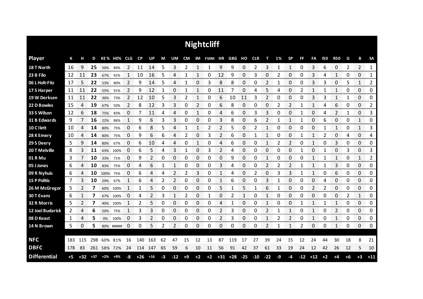|                     |     |       |       |       |             |          |       |       |      |       |              |      | <b>Nightcliff</b>        |    |             |       |       |                |      |              |           |                |            |                |      |                |              |
|---------------------|-----|-------|-------|-------|-------------|----------|-------|-------|------|-------|--------------|------|--------------------------|----|-------------|-------|-------|----------------|------|--------------|-----------|----------------|------------|----------------|------|----------------|--------------|
| <b>Player</b>       | К   | н     | D     |       | KE% HE% CLG |          | CP    | UP    | М    | UM    |              |      | CM IM F50M HR GBG HO CLR |    |             |       |       | т              | 1%   | <b>SP</b>    | <b>FF</b> | FA             | <b>I50</b> | <b>R50</b>     | G    | В              | <b>SA</b>    |
| 18 T North          | 16  | 9     | 25    | 50%   | 89%         | 2        | 11    | 14    | 5    | 3     | 2            | 1    | 1                        | 9  | 9           | 0     | 2     | 3              | 1    | $\mathbf{1}$ | 0         | 3              | 6          | 0              | 2    | $\overline{2}$ | 1            |
| 23 B Filo           | 12  | 11    | 23    | 67%   | 91%         |          | 10    | 16    | 5    | 4     |              | 1    | 0                        | 12 | 9           | 0     | 3     | 0              | 2    | 0            | 0         | 3              | 4          | 1              | 0    | 0              | 1            |
| 06 L Holt-Fitz      | 17  | 5     | 22    | 53%   | 80%         | 2        | 9     | 14    | 5    | 4     | 1            | 0    | 3                        | 8  | 8           | 0     | 0     | 2              | 1    | 0            | 0         | 3              | 3          | 0              | 5    | 1              | 2            |
| 17 S Harper         | 11  | 11    | 22    | 55%   | 91%         | 2        | 9     | 12    | 1    | 0     | $\mathbf{1}$ | 1    | 0                        | 11 | 7           | 0     | 4     | 5              | 4    | 0            | 2         | 1              |            | $\mathbf{1}$   | 0    | 0              | 0            |
| 19 W Derksen        | 11  | 11    | 22    | 36%   | 73%         | 2        | 12    | 10    | 5    | 3     | 2            | 1    | 0                        | 6  | 10          | 11    | 3     | $\overline{2}$ | 0    | 0            | 0         | 3              | 3          | $\mathbf{1}$   | 1    | 0              | 0            |
| 22 D Bowles         | 15  | 4     | 19    | 67%   | 50%         | 2        | 8     | 12    | 3    | 3     | 0            | 2    | 0                        | 6  | 8           | 0     | 0     | 0              | 2    | 2            | 1         | 1              | 4          | 6              | 0    | 0              | 2            |
| 33 S Wilson         | 12  | 6     | 18    | 75%   | 83%         | $\Omega$ | 7     | 11    | 4    | 4     | 0            | 1    | 0                        | 4  | 6           | 0     | 3     | 3              | 0    | 0            | 1         | 0              | 4          | $\overline{2}$ | 1    | 0              | 3            |
| 31 B Edwards        | 9   |       | 16    | 22%   | 86%         | 1        | 9     | 6     | 3    | 3     | 0            | 0    | 0                        | 3  | 8           | 0     | 6     | 2              | 1    | 1            | 1         | 0              | 6          | 0              | 0    | 1              | 0            |
| 10 C I lett         | 10  | 4     | 14    | 80%   | 75%         | 0        | 6     | 8     | 5    | 4     | 1            | 1    | 2                        | 2  | 5           | 0     | 2     | $\mathbf{1}$   | 0    | 0            | 0         | 0              | 1          | 1              | 0    | 1              | 3            |
| 28 K Emery          | 10  | 4     | 14    | 80%   | 75%         | 0        | 9     | 6     | 6    | 4     | 2            | 0    | 3                        | 2  | 6           | 0     |       | 1              | 0    | 0            | 1         | 1              | 2          | 0              | 4    | 0              | 4            |
| 29 S Deery          | 5.  | 9     | 14    | 80%   | 67%         | 0        | 6     | 10    | 4    | 4     | 0            | 1    | 0                        | 4  | 6           | 0     | 0     | 1              | 2    | 2            | 0         | 1              | 0          | 3              | 0    | 0              | 0            |
| 20 T Melville       | 8   | 3     | 11    | 63%   | 100%        | 0        | 6     | 5     | 4    | 3     | 1            | 0    | 3                        | 2  | 4           | 0     | 0     | 0              | 0    | 0            | 1         | 0              | 1          | 0              | 3    | 0              | 3            |
| 01 R Mu             | 3   |       | 10    | 33%   | 71%         | 0        | 9     | 2     | 0    | 0     | 0            | 0    | 0                        | 0  | 9           | 0     | 0     | 1              | 0    | 0            | 0         | 1              | 1          | 1              | 0    | 1              | 2            |
| 05 J Jones          | 6   | 4     | 10    | 83%   | 75%         | O        | 4     | 6     |      | 1     | 0            | 0    | 0                        | 3  | 4           | 0     | Ω     | 2              | 2    | 2            |           | 1              |            | 3              | 0    | 0              | 0            |
| 09 R Nyhuis         | 6   | 4     | 10    | 100%  | 75%         | 0        | 6     | 4     | 4    | 2     | 2            | 3    | 0                        |    | 4           | 0     | 2     | 0              | 3    | 3            |           |                | 0          | 6              | 0    | 0              | 0<br>www.com |
| <b>15 P Politis</b> | 7   | 3     | 10    | 29%   | 67%         |          | 6     | 4     | 2    | 2     | 0            | 0    | 0                        |    | 6           | 0     | O     | 3              |      | 0            | 0         | 0              | 4          | 0              | 0    | 0              | 0            |
| 26 M McGregor       | 5   | 2     | 7     | 60%   | 100%        | 1        | 1     | 5     | 0    | 0     | 0            | 0    | 0                        | 5  | 1           | 5     | 1     | 6              | 1    | 0            | 0         | $\overline{2}$ | 2          | 0              | 0    | 0              | 0            |
| 30 T Evans          | 6   |       | 7     | 67%   | 100%        | 0        | 4     | 2     | 3    | 1     | 2            | 0    |                          | 0  |             | 1     | Ω     | 1              | 0    | 0            | 0         | 0              | 0          | 0              | 2    | 1              | 0            |
| 32 R Morris         | 5   | 2     | 7     | 40%   | 100%        | 1        | 2     | 5     | 0    | 0     | 0            | 0    | 0                        | 4  |             | 0     | 0     | 1              | 0    | 0            | 1         | 1              | 1          | $\mathbf{1}$   | 0    | 0              | 0            |
| 12 Joel Budarick    | 2   | 4     | 6     | 50%   | 75%         | 1        | 3     | 3     | 0    | 0     | 0            | 0    | 0                        | 2  | 3           | 0     | 0     | 2              | 1    | $\mathbf{1}$ | 0         | 1              | 0          | 2              | 0    | 0              | 0            |
| 08 D Keast          | 1   | 4     | 5     | 0%    | 100%        | 0        | 3     | 2     | 0    | 0     | 0            | 0    | 0                        | 2  | 3           | 0     | 0     | 1              | 2    | 2            | 0         | 1              | 0          | 1              | 0    | 0              | 0            |
| 14 N Brown          | 5   | 0     | 5     |       | 80% #####   | 0        | 0     | 5     | 2    | 2     | 0            | 0    | 0                        | 0  | 0           | 0     | 0     | 2              | 1    | 1            | 2         | 0              | 0          | 1              | 0    | 0              | 0            |
|                     |     |       |       |       |             |          |       |       |      |       |              |      |                          |    |             |       |       |                |      |              |           |                |            |                |      |                |              |
| <b>NFC</b>          | 183 | 115   | 298   | 60%   | 81%         | 16       | 140   | 163   | 62   | 47    | 15           | 12   | 13                       | 87 | 119         | 17    | 27    | 39             | 24   | 15           | 12        | 24             | 44         | 30             | 18   | 8              | 21           |
| <b>DBFC</b>         | 178 | -83   | 261   |       | 58% 72%     | 24       | 114   | 147   | 65   | 59    | 6            | 10   | 11                       | 56 | 91          | 42    | 37    | 61             | 33   | 19           | 24        | 12             | 42         | 26             | 12   | 5              | 10           |
| <b>Differential</b> | +5  | $+32$ | $+37$ | $+2%$ | +9%         | -8       | $+26$ | $+16$ | $-3$ | $-12$ | $+9$         | $+2$ | $+2$                     |    | $+31$ $+28$ | $-25$ | $-10$ | $-22$          | $-9$ | -4           | $-12$     | $+12$          | $+2$       | $+4$           | $+6$ | $+3$           | $+11$        |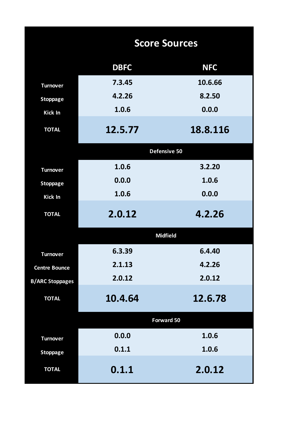|                        |             | <b>Score Sources</b> |
|------------------------|-------------|----------------------|
|                        | <b>DBFC</b> | <b>NFC</b>           |
| <b>Turnover</b>        | 7.3.45      | 10.6.66              |
| <b>Stoppage</b>        | 4.2.26      | 8.2.50               |
| Kick In                | 1.0.6       | 0.0.0                |
| <b>TOTAL</b>           | 12.5.77     | 18.8.116             |
|                        |             | Defensive 50         |
| <b>Turnover</b>        | 1.0.6       | 3.2.20               |
| <b>Stoppage</b>        | 0.0.0       | 1.0.6                |
| Kick In                | 1.0.6       | 0.0.0                |
| <b>TOTAL</b>           | 2.0.12      | 4.2.26               |
|                        |             | <b>Midfield</b>      |
| <b>Turnover</b>        | 6.3.39      | 6.4.40               |
| <b>Centre Bounce</b>   | 2.1.13      | 4.2.26               |
| <b>B/ARC Stoppages</b> | 2.0.12      | 2.0.12               |
| <b>TOTAL</b>           | 10.4.64     | 12.6.78              |
|                        |             | <b>Forward 50</b>    |
| <b>Turnover</b>        | 0.0.0       | 1.0.6                |
| <b>Stoppage</b>        | 0.1.1       | 1.0.6                |
| <b>TOTAL</b>           | 0.1.1       | 2.0.12               |